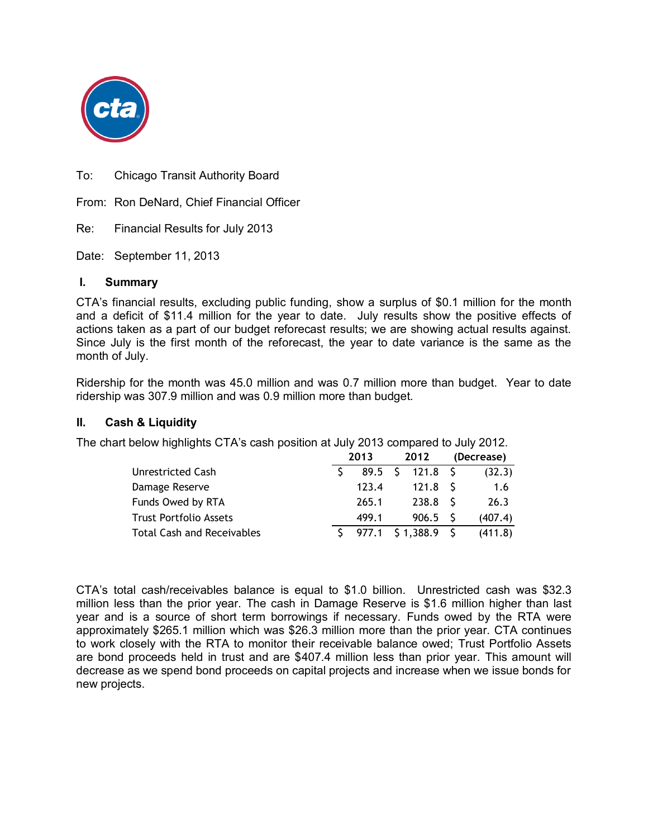

To: Chicago Transit Authority Board

From: Ron DeNard, Chief Financial Officer

Re: Financial Results for July 2013

Date: September 11, 2013

### **I. Summary**

CTA's financial results, excluding public funding, show a surplus of \$0.1 million for the month and a deficit of \$11.4 million for the year to date. July results show the positive effects of actions taken as a part of our budget reforecast results; we are showing actual results against. Since July is the first month of the reforecast, the year to date variance is the same as the month of July.

Ridership for the month was 45.0 million and was 0.7 million more than budget. Year to date ridership was 307.9 million and was 0.9 million more than budget.

#### **II. Cash & Liquidity**

The chart below highlights CTA's cash position at July 2013 compared to July 2012.

|                                   | 2013           | 2012               | (Decrease) |
|-----------------------------------|----------------|--------------------|------------|
| <b>Unrestricted Cash</b>          | $89.5 \quad S$ | 121.8 <sup>5</sup> | (32.3)     |
| Damage Reserve                    | 123.4          | $121.8$ S          | 1.6        |
| Funds Owed by RTA                 | 265.1          | 238.8              | 26.3       |
| <b>Trust Portfolio Assets</b>     | 499.1          | $906.5$ S          | (407.4)    |
| <b>Total Cash and Receivables</b> | 977.1          | $$1,388.9$ \$      | (411.8)    |

CTA's total cash/receivables balance is equal to \$1.0 billion. Unrestricted cash was \$32.3 million less than the prior year. The cash in Damage Reserve is \$1.6 million higher than last year and is a source of short term borrowings if necessary. Funds owed by the RTA were approximately \$265.1 million which was \$26.3 million more than the prior year. CTA continues to work closely with the RTA to monitor their receivable balance owed; Trust Portfolio Assets are bond proceeds held in trust and are \$407.4 million less than prior year. This amount will decrease as we spend bond proceeds on capital projects and increase when we issue bonds for new projects.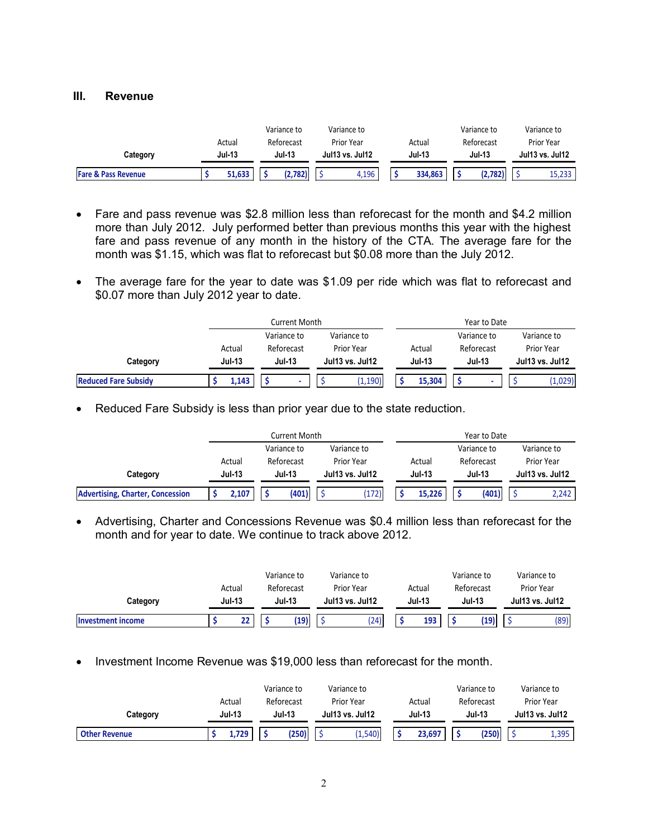#### **III. Revenue**

|                                | Actual        | Variance to<br>Reforecast |  | Variance to<br>Prior Year<br>Actual |  |               | Variance to<br>Reforecast | Variance to<br>Prior Year |
|--------------------------------|---------------|---------------------------|--|-------------------------------------|--|---------------|---------------------------|---------------------------|
| Category                       | <b>Jul-13</b> | <b>Jul-13</b>             |  | <b>Jul13 vs. Jul12</b>              |  | <b>Jul-13</b> | <b>Jul-13</b>             | Jul13 vs. Jul12           |
| <b>Fare &amp; Pass Revenue</b> | 51.633        | (2,782)                   |  | 4.196                               |  | 334,863       | (2.782)                   | 15.233                    |

- Fare and pass revenue was \$2.8 million less than reforecast for the month and \$4.2 million more than July 2012. July performed better than previous months this year with the highest fare and pass revenue of any month in the history of the CTA. The average fare for the month was \$1.15, which was flat to reforecast but \$0.08 more than the July 2012.
- The average fare for the year to date was \$1.09 per ride which was flat to reforecast and \$0.07 more than July 2012 year to date.

|                             |                      |                            | Current Month |  |                          | Year to Date |               |  |             |            |                 |  |  |
|-----------------------------|----------------------|----------------------------|---------------|--|--------------------------|--------------|---------------|--|-------------|------------|-----------------|--|--|
|                             |                      | Variance to<br>Variance to |               |  |                          |              |               |  | Variance to |            | Variance to     |  |  |
|                             | Reforecast<br>Actual |                            |               |  | <b>Prior Year</b>        |              | Actual        |  | Reforecast  | Prior Year |                 |  |  |
| Category                    | <b>Jul-13</b>        |                            | <b>Jul-13</b> |  | <b>Jul 13 vs. Jul 12</b> |              | <b>Jul-13</b> |  | Jul-13      |            | Jul13 vs. Jul12 |  |  |
| <b>Reduced Fare Subsidy</b> | 1,143                |                            |               |  | (1, 190)                 |              | 15.304        |  |             |            | (1,029)         |  |  |

• Reduced Fare Subsidy is less than prior year due to the state reduction.

|                                         |                                |                            | Current Month |                          |            | Year to Date  |        |        |                        |            |             |  |
|-----------------------------------------|--------------------------------|----------------------------|---------------|--------------------------|------------|---------------|--------|--------|------------------------|------------|-------------|--|
|                                         |                                | Variance to<br>Variance to |               |                          |            |               |        |        | Variance to            |            | Variance to |  |
|                                         | Actual                         |                            | Reforecast    |                          | Prior Year |               | Actual |        | Reforecast             | Prior Year |             |  |
| Category                                | <b>Jul-13</b><br><b>Jul-13</b> |                            |               | <b>Jul 13 vs. Jul 12</b> |            | <b>Jul-13</b> |        | Jul-13 | <b>Jul13 vs. Jul12</b> |            |             |  |
| <b>Advertising, Charter, Concession</b> | 2.107                          |                            | (401)         |                          | '172)      |               | 15.226 |        | (401)                  |            | 2.242       |  |

 Advertising, Charter and Concessions Revenue was \$0.4 million less than reforecast for the month and for year to date. We continue to track above 2012.

|                          |        |               |  | Variance to                             |  | Variance to |               |        | Variance to |            |                        | Variance to |
|--------------------------|--------|---------------|--|-----------------------------------------|--|-------------|---------------|--------|-------------|------------|------------------------|-------------|
|                          | Actual |               |  | Reforecast                              |  | Prior Year  |               | Actual |             | Reforecast |                        | Prior Year  |
| Category                 |        | <b>Jul-13</b> |  | <b>Jul-13</b><br><b>Jul13 vs. Jul12</b> |  |             | <b>Jul-13</b> |        | Jul-13      |            | <b>Jul13 vs. Jul12</b> |             |
| <b>Investment income</b> |        | 22            |  | (19)                                    |  | (24)        |               | 193    |             | (19)       |                        | (89)        |

• Investment Income Revenue was \$19,000 less than reforecast for the month.

|                      |          | Variance to   | Variance to              |               | Variance to | Variance to              |
|----------------------|----------|---------------|--------------------------|---------------|-------------|--------------------------|
|                      | Actual   | Reforecast    | Prior Year               | Actual        | Reforecast  | Prior Year               |
| Category             | $Jul-13$ | <b>Jul-13</b> | <b>Jul 13 vs. Jul 12</b> | <b>Jul-13</b> | Jul-13      | <b>Jul 13 vs. Jul 12</b> |
| <b>Other Revenue</b> | 1.729    | (250)         | (1, 540)                 | 23,697        | (250)       | 1,395                    |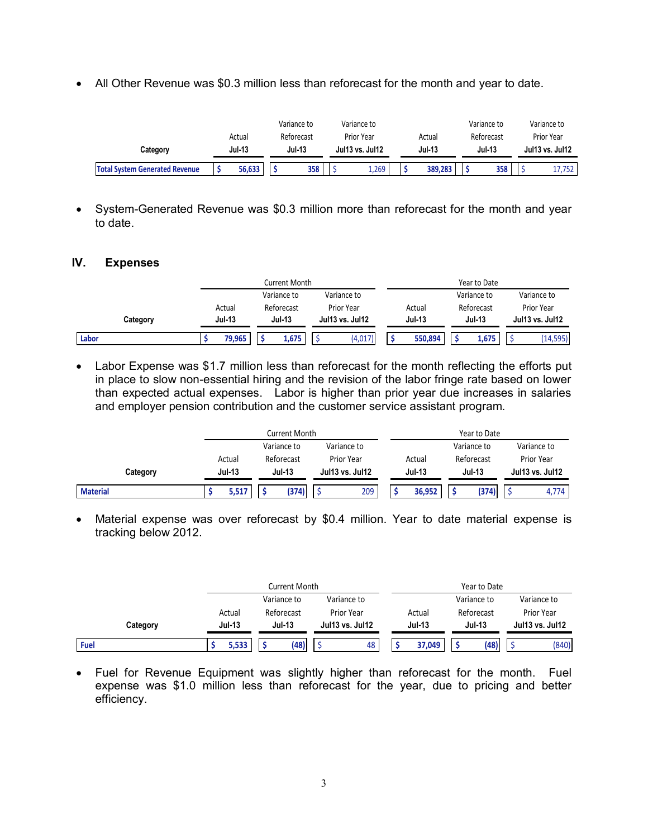All Other Revenue was \$0.3 million less than reforecast for the month and year to date.

|                                       |                         | Variance to                 | Variance to<br>Prior Year<br>Actual |                 |               |         | Variance to                 |     | Variance to<br>Prior Year |        |
|---------------------------------------|-------------------------|-----------------------------|-------------------------------------|-----------------|---------------|---------|-----------------------------|-----|---------------------------|--------|
| Category                              | Actual<br><b>Jul-13</b> | Reforecast<br><b>Jul-13</b> |                                     | Jul13 vs. Jul12 | <b>Jul-13</b> |         | Reforecast<br><b>Jul-13</b> |     | Jul13 vs. Jul12           |        |
| <b>Total System Generated Revenue</b> | 56.633                  | 358                         |                                     | 1,269           |               | 389.283 |                             | 358 |                           | 17.752 |

• System-Generated Revenue was \$0.3 million more than reforecast for the month and year to date.

#### **IV. Expenses**

|          |               | <b>Current Month</b> |                 |               | Year to Date  |                 |
|----------|---------------|----------------------|-----------------|---------------|---------------|-----------------|
|          |               | Variance to          | Variance to     |               | Variance to   | Variance to     |
|          | Actual        | Reforecast           | Prior Year      | Actual        | Reforecast    | Prior Year      |
| Category | <b>Jul-13</b> | <b>Jul-13</b>        | Jul13 vs. Jul12 | <b>Jul-13</b> | <b>Jul-13</b> | Jul13 vs. Jul12 |
| Labor    | 79,965        | 1,675                | (4,017)         | 550.894       | 1,675         | (14, 595)       |

• Labor Expense was \$1.7 million less than reforecast for the month reflecting the efforts put in place to slow non-essential hiring and the revision of the labor fringe rate based on lower than expected actual expenses. Labor is higher than prior year due increases in salaries and employer pension contribution and the customer service assistant program.

|                 |               | Current Month |                 |               | Year to Date  |                 |
|-----------------|---------------|---------------|-----------------|---------------|---------------|-----------------|
|                 |               | Variance to   | Variance to     |               | Variance to   | Variance to     |
|                 | Actual        | Reforecast    | Prior Year      | Actual        | Reforecast    | Prior Year      |
| Category        | <b>Jul-13</b> | <b>Jul-13</b> | Jul13 vs. Jul12 | <b>Jul-13</b> | <b>Jul-13</b> | Jul13 vs. Jul12 |
| <b>Material</b> | 5,517         | (374)         | 209             | 36.952        | (374)         | 4.774           |

 Material expense was over reforecast by \$0.4 million. Year to date material expense is tracking below 2012.

|          |               | Current Month |                          | Year to Date  |               |                 |  |  |  |  |
|----------|---------------|---------------|--------------------------|---------------|---------------|-----------------|--|--|--|--|
|          |               | Variance to   | Variance to              |               | Variance to   | Variance to     |  |  |  |  |
|          | Actual        | Reforecast    | Prior Year               | Actual        | Reforecast    | Prior Year      |  |  |  |  |
| Category | <b>Jul-13</b> | <b>Jul-13</b> | <b>Jul 13 vs. Jul 12</b> | <b>Jul-13</b> | <b>Jul-13</b> | Jul13 vs. Jul12 |  |  |  |  |
| Fuel     | 5,533         | (48)          | 48                       | 37,049        | (48)          | (840)           |  |  |  |  |

 Fuel for Revenue Equipment was slightly higher than reforecast for the month. Fuel expense was \$1.0 million less than reforecast for the year, due to pricing and better efficiency.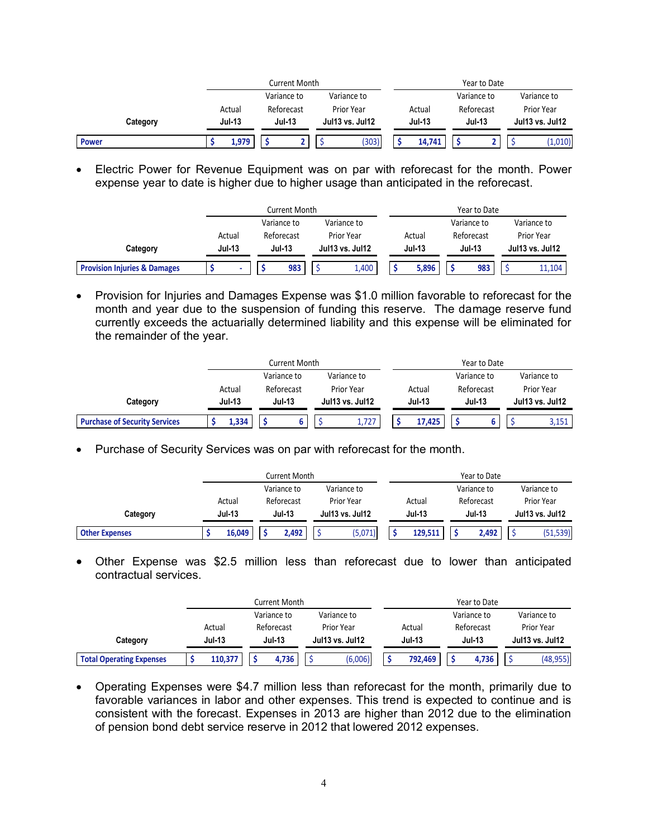|          |                      |                            | <b>Current Month</b> |  |                          |               |        |               | Year to Date |                 |             |
|----------|----------------------|----------------------------|----------------------|--|--------------------------|---------------|--------|---------------|--------------|-----------------|-------------|
|          |                      | Variance to<br>Variance to |                      |  |                          |               |        |               | Variance to  |                 | Variance to |
|          | Actual<br>Reforecast |                            |                      |  | Prior Year               |               | Actual |               | Reforecast   | Prior Year      |             |
| Category | <b>Jul-13</b>        |                            | <b>Jul-13</b>        |  | <b>Jul 13 vs. Jul 12</b> | <b>Jul-13</b> |        | <b>Jul-13</b> |              | Jul13 vs. Jul12 |             |
| Power    | 1.979                |                            |                      |  | (303)                    |               | 14.741 |               |              |                 | (1,010)     |

 Electric Power for Revenue Equipment was on par with reforecast for the month. Power expense year to date is higher due to higher usage than anticipated in the reforecast.

|                                         |               | <b>Current Month</b> |                          |               | Year to Date |                          |  |  |  |  |  |
|-----------------------------------------|---------------|----------------------|--------------------------|---------------|--------------|--------------------------|--|--|--|--|--|
|                                         |               | Variance to          | Variance to              |               | Variance to  | Variance to              |  |  |  |  |  |
|                                         | Actual        | Reforecast           | Prior Year               | Actual        | Reforecast   | Prior Year               |  |  |  |  |  |
| Category                                | <b>Jul-13</b> | <b>Jul-13</b>        | <b>Jul 13 vs. Jul 12</b> | <b>Jul-13</b> | Jul-13       | <b>Jul 13 vs. Jul 12</b> |  |  |  |  |  |
| <b>Provision Injuries &amp; Damages</b> |               | 983                  | 1,400                    | 5.896         | 983          | 11.104                   |  |  |  |  |  |

• Provision for Injuries and Damages Expense was \$1.0 million favorable to reforecast for the month and year due to the suspension of funding this reserve. The damage reserve fund currently exceeds the actuarially determined liability and this expense will be eliminated for the remainder of the year.

|                                      |               | Current Month |                 | Year to Date  |             |                          |  |  |  |
|--------------------------------------|---------------|---------------|-----------------|---------------|-------------|--------------------------|--|--|--|
|                                      |               | Variance to   | Variance to     |               | Variance to | Variance to              |  |  |  |
|                                      | Actual        | Reforecast    | Prior Year      | Actual        | Reforecast  | Prior Year               |  |  |  |
| Category                             | <b>Jul-13</b> | <b>Jul-13</b> | Jul13 vs. Jul12 | <b>Jul-13</b> | Jul-13      | <b>Jul 13 vs. Jul 12</b> |  |  |  |
| <b>Purchase of Security Services</b> | 1.334         |               | 1,727           | 17,425        |             | 3,151                    |  |  |  |

• Purchase of Security Services was on par with reforecast for the month.

|                       | Current Month |                      |                                  |       |            |                         | Year to Date |            |                 |                   |             |          |
|-----------------------|---------------|----------------------|----------------------------------|-------|------------|-------------------------|--------------|------------|-----------------|-------------------|-------------|----------|
|                       |               |                      | Variance to<br>Variance to       |       |            |                         | Variance to  |            |                 |                   | Variance to |          |
|                       |               | Reforecast<br>Actual |                                  |       | Prior Year | Actual                  |              | Reforecast |                 | <b>Prior Year</b> |             |          |
| Category              |               | <b>Jul-13</b>        | <b>Jul-13</b><br>Jul13 vs. Jul12 |       |            | <b>Jul-13</b><br>Jul-13 |              |            | Jul13 vs. Jul12 |                   |             |          |
| <b>Other Expenses</b> |               | 16,049               |                                  | 2,492 |            | (5,071)                 |              | 129.511    |                 | 2,492             |             | (51,539) |

 Other Expense was \$2.5 million less than reforecast due to lower than anticipated contractual services.

|                                 | Current Month |               |            |                 |             |               | Year to Date |               |             |                   |           |  |
|---------------------------------|---------------|---------------|------------|-----------------|-------------|---------------|--------------|---------------|-------------|-------------------|-----------|--|
|                                 |               | Variance to   |            |                 | Variance to |               |              |               | Variance to | Variance to       |           |  |
|                                 | Actual        |               | Reforecast |                 | Prior Year  | Actual        |              | Reforecast    |             | <b>Prior Year</b> |           |  |
| Category                        | <b>Jul-13</b> | <b>Jul-13</b> |            | Jul13 vs. Jul12 |             | <b>Jul-13</b> |              | <b>Jul-13</b> |             | Jul13 vs. Jul12   |           |  |
| <b>Total Operating Expenses</b> | 110.377       |               | 4,736      |                 | (6,006)     |               | 792.469      |               | 4,736       |                   | (48, 955) |  |

 Operating Expenses were \$4.7 million less than reforecast for the month, primarily due to favorable variances in labor and other expenses. This trend is expected to continue and is consistent with the forecast. Expenses in 2013 are higher than 2012 due to the elimination of pension bond debt service reserve in 2012 that lowered 2012 expenses.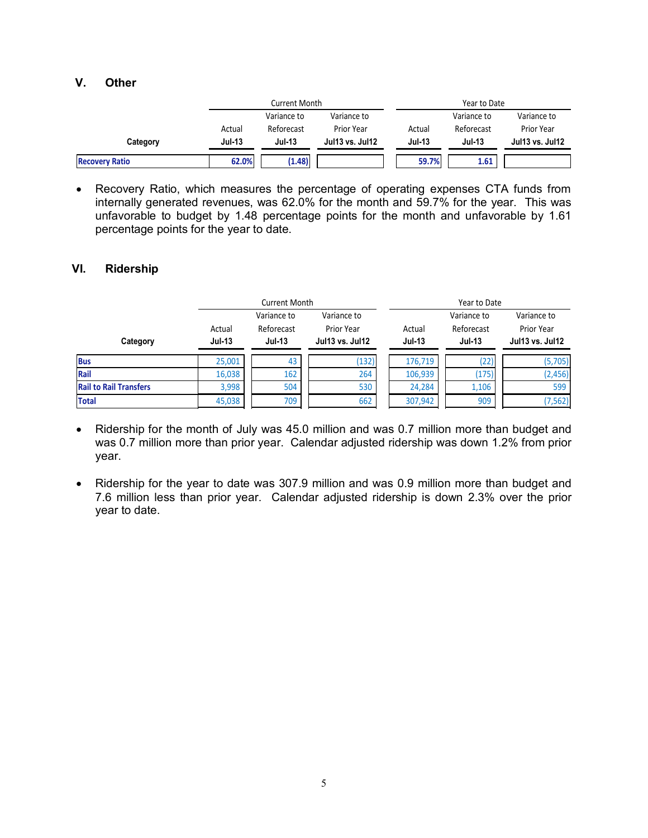#### **V. Other**

|                       |               | Current Month |                 | Year to Date  |               |                          |  |  |
|-----------------------|---------------|---------------|-----------------|---------------|---------------|--------------------------|--|--|
|                       |               | Variance to   | Variance to     |               | Variance to   | Variance to              |  |  |
|                       | Actual        | Reforecast    | Prior Year      | Actual        | Reforecast    | Prior Year               |  |  |
| Category              | <b>Jul-13</b> | Jul-13        | Jul13 vs. Jul12 | <b>Jul-13</b> | <b>Jul-13</b> | <b>Jul 13 vs. Jul 12</b> |  |  |
| <b>Recovery Ratio</b> | 62.0%         | (1.48)        |                 | 59.7%         | 1.61          |                          |  |  |

 Recovery Ratio, which measures the percentage of operating expenses CTA funds from internally generated revenues, was 62.0% for the month and 59.7% for the year. This was unfavorable to budget by 1.48 percentage points for the month and unfavorable by 1.61 percentage points for the year to date.

#### **VI. Ridership**

|                               |                         | <b>Current Month</b>                       |                                                       | Year to Date                                                          |       |                                                     |  |  |  |
|-------------------------------|-------------------------|--------------------------------------------|-------------------------------------------------------|-----------------------------------------------------------------------|-------|-----------------------------------------------------|--|--|--|
| Category                      | Actual<br><b>Jul-13</b> | Variance to<br>Reforecast<br><b>Jul-13</b> | Variance to<br>Prior Year<br><b>Jul 13 vs. Jul 12</b> | Variance to<br>Reforecast<br>Actual<br><b>Jul-13</b><br><b>Jul-13</b> |       | Variance to<br>Prior Year<br><b>Jul13 vs. Jul12</b> |  |  |  |
| <b>Bus</b>                    | 25,001                  | 43                                         | (132)                                                 | 176,719                                                               | (22)  | (5,705)                                             |  |  |  |
| Rail                          | 16,038                  | 162                                        | 264                                                   | 106,939                                                               | (175) | (2, 456)                                            |  |  |  |
| <b>Rail to Rail Transfers</b> | 3,998                   | 504                                        | 530                                                   | 24,284                                                                | 1,106 | 599                                                 |  |  |  |
| <b>Total</b>                  | 45,038                  | 709                                        | 662                                                   | 307,942                                                               | 909   | (7, 562)                                            |  |  |  |

- Ridership for the month of July was 45.0 million and was 0.7 million more than budget and was 0.7 million more than prior year. Calendar adjusted ridership was down 1.2% from prior year.
- Ridership for the year to date was 307.9 million and was 0.9 million more than budget and 7.6 million less than prior year. Calendar adjusted ridership is down 2.3% over the prior year to date.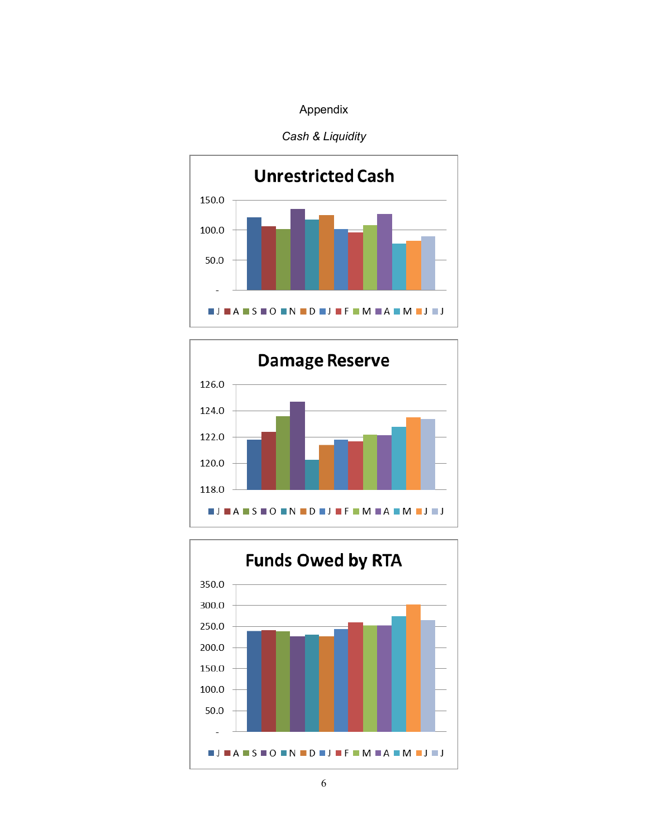### *Cash & Liquidity*





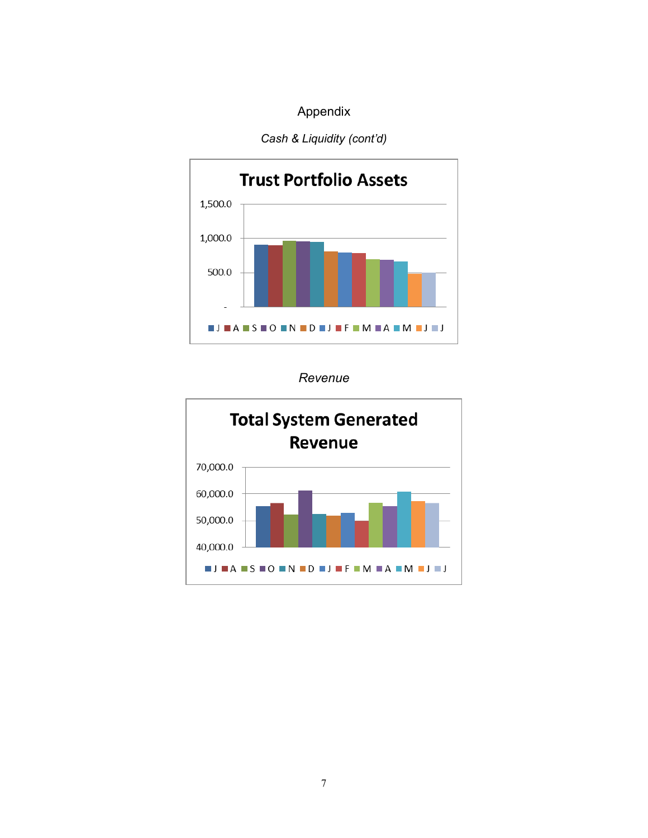### *Cash & Liquidity (cont'd)*



*Revenue*

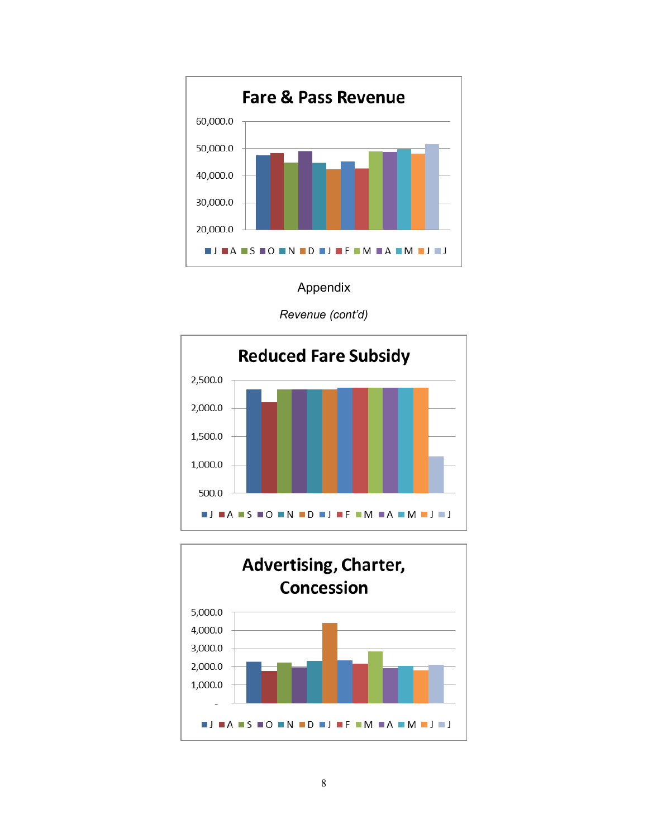

*Revenue (cont'd)*



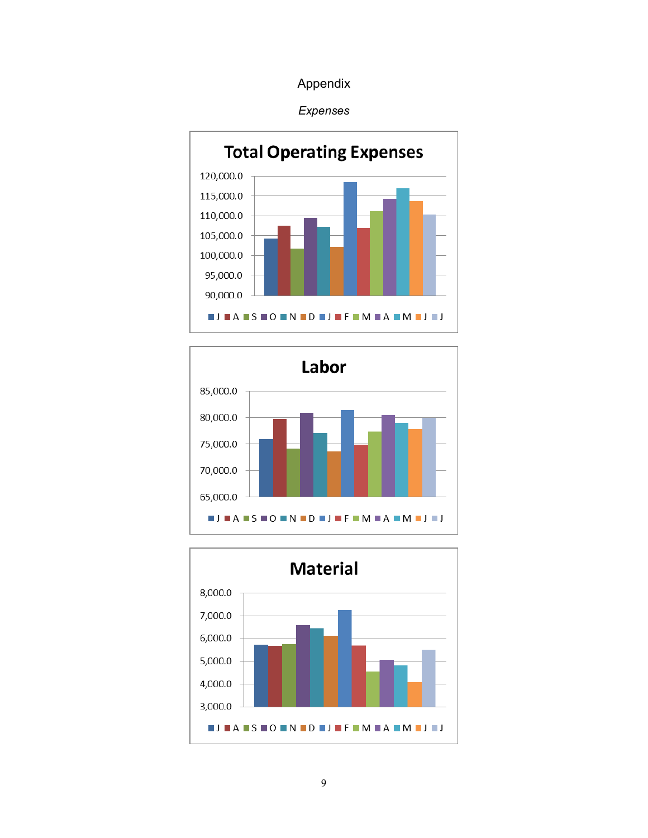





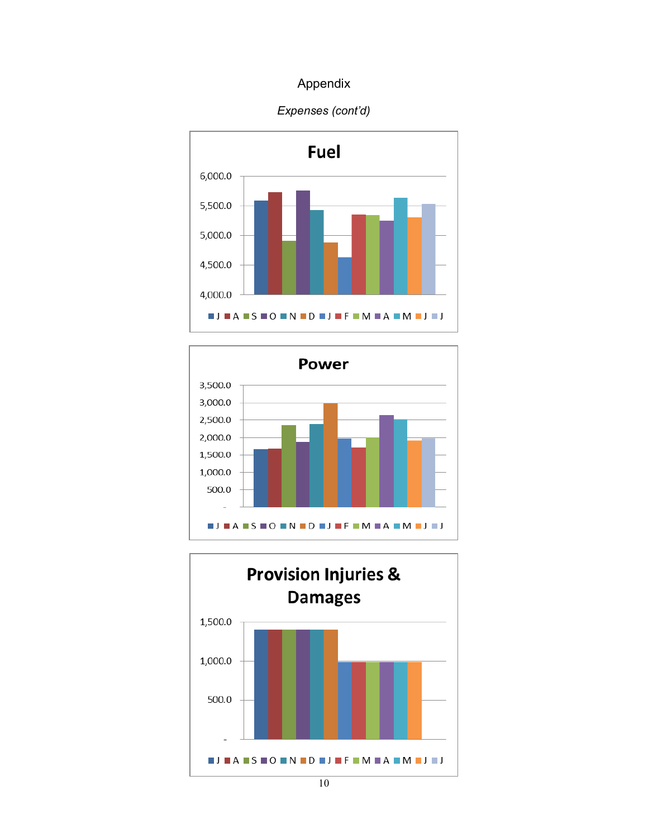